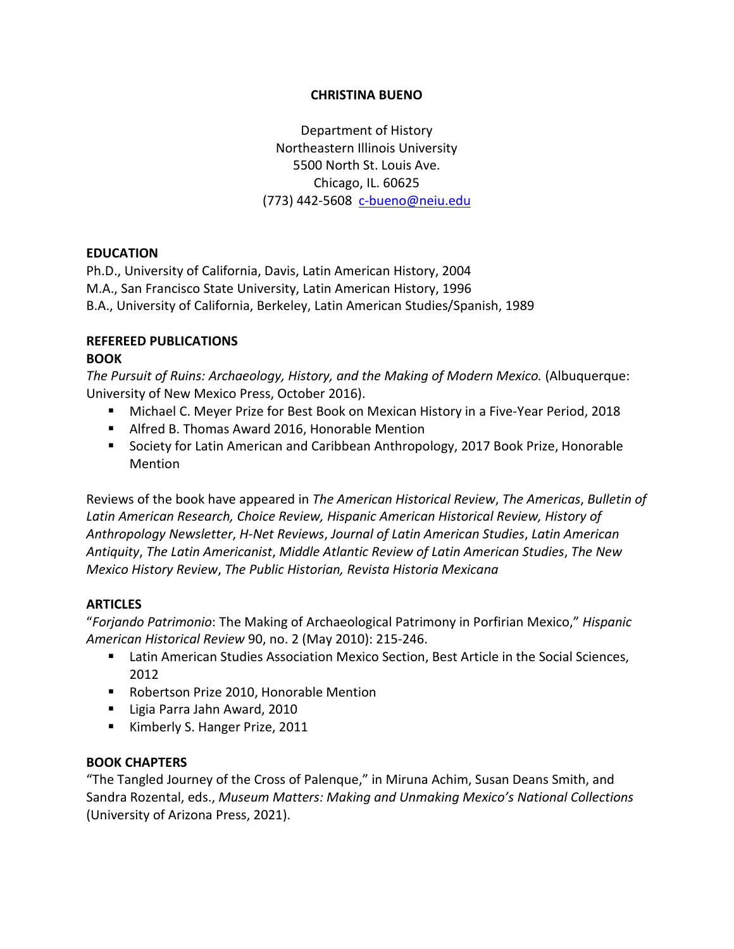#### **CHRISTINA BUENO**

Department of History Northeastern Illinois University 5500 North St. Louis Ave. Chicago, IL. 60625 (773) 442-5608 [c-bueno@neiu.edu](mailto:c-bueno@neiu.edu)

# **EDUCATION**

Ph.D., University of California, Davis, Latin American History, 2004 M.A., San Francisco State University, Latin American History, 1996 B.A., University of California, Berkeley, Latin American Studies/Spanish, 1989

#### **REFEREED PUBLICATIONS BOOK**

*The Pursuit of Ruins: Archaeology, History, and the Making of Modern Mexico.* (Albuquerque: University of New Mexico Press, October 2016).

- Michael C. Meyer Prize for Best Book on Mexican History in a Five-Year Period, 2018
- Alfred B. Thomas Award 2016, Honorable Mention
- **Society for Latin American and Caribbean Anthropology, 2017 Book Prize, Honorable** Mention

Reviews of the book have appeared in *The American Historical Review*, *The Americas*, *Bulletin of Latin American Research, Choice Review, Hispanic American Historical Review, History of Anthropology Newsletter*, *H-Net Reviews*, *Journal of Latin American Studies*, *Latin American Antiquity*, *The Latin Americanist*, *Middle Atlantic Review of Latin American Studies*, *The New Mexico History Review*, *The Public Historian, Revista Historia Mexicana*

# **ARTICLES**

"*Forjando Patrimonio*: The Making of Archaeological Patrimony in Porfirian Mexico," *Hispanic American Historical Review* 90, no. 2 (May 2010): 215-246.

- **EXECT American Studies Association Mexico Section, Best Article in the Social Sciences,** 2012
- **Robertson Prize 2010, Honorable Mention**
- Ligia Parra Jahn Award, 2010
- Kimberly S. Hanger Prize, 2011

# **BOOK CHAPTERS**

"The Tangled Journey of the Cross of Palenque," in Miruna Achim, Susan Deans Smith, and Sandra Rozental, eds., *Museum Matters: Making and Unmaking Mexico's National Collections*  (University of Arizona Press, 2021).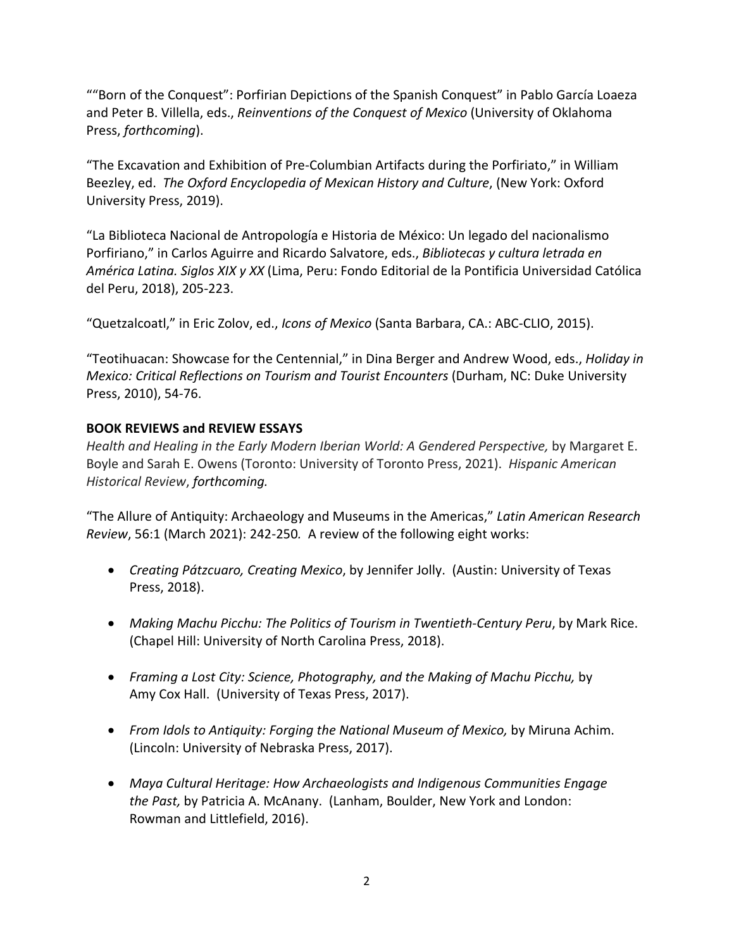""Born of the Conquest": Porfirian Depictions of the Spanish Conquest" in Pablo García Loaeza and Peter B. Villella, eds., *Reinventions of the Conquest of Mexico* (University of Oklahoma Press, *forthcoming*).

"The Excavation and Exhibition of Pre-Columbian Artifacts during the Porfiriato," in William Beezley, ed. *The Oxford Encyclopedia of Mexican History and Culture*, (New York: Oxford University Press, 2019).

"La Biblioteca Nacional de Antropología e Historia de México: Un legado del nacionalismo Porfiriano," in Carlos Aguirre and Ricardo Salvatore, eds., *Bibliotecas y cultura letrada en América Latina. Siglos XIX y XX* (Lima, Peru: Fondo Editorial de la Pontificia Universidad Católica del Peru, 2018), 205-223.

"Quetzalcoatl," in Eric Zolov, ed., *Icons of Mexico* (Santa Barbara, CA.: ABC-CLIO, 2015).

"Teotihuacan: Showcase for the Centennial," in Dina Berger and Andrew Wood, eds., *Holiday in Mexico: Critical Reflections on Tourism and Tourist Encounters* (Durham, NC: Duke University Press, 2010), 54-76.

# **BOOK REVIEWS and REVIEW ESSAYS**

*Health and Healing in the Early Modern Iberian World: A Gendered Perspective,* by Margaret E. Boyle and Sarah E. Owens (Toronto: University of Toronto Press, 2021). *Hispanic American Historical Review*, *forthcoming.*

"The Allure of Antiquity: Archaeology and Museums in the Americas," *Latin American Research Review*, 56:1 (March 2021): 242-250*.* A review of the following eight works:

- *Creating Pátzcuaro, Creating Mexico*, by Jennifer Jolly. (Austin: University of Texas Press, 2018).
- *Making Machu Picchu: The Politics of Tourism in Twentieth-Century Peru*, by Mark Rice. (Chapel Hill: University of North Carolina Press, 2018).
- *Framing a Lost City: Science, Photography, and the Making of Machu Picchu,* by Amy Cox Hall. (University of Texas Press, 2017).
- *From Idols to Antiquity: Forging the National Museum of Mexico,* by Miruna Achim. (Lincoln: University of Nebraska Press, 2017).
- *Maya Cultural Heritage: How Archaeologists and Indigenous Communities Engage the Past,* by Patricia A. McAnany. (Lanham, Boulder, New York and London: Rowman and Littlefield, 2016).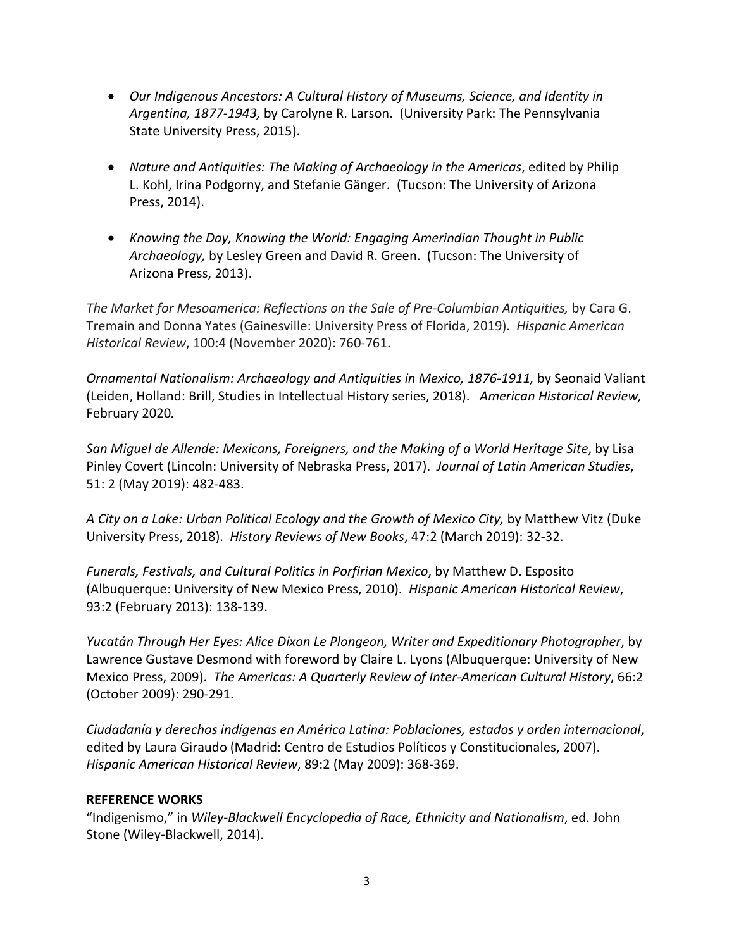- *Our Indigenous Ancestors: A Cultural History of Museums, Science, and Identity in Argentina, 1877-1943,* by Carolyne R. Larson. (University Park: The Pennsylvania State University Press, 2015).
- *Nature and Antiquities: The Making of Archaeology in the Americas*, edited by Philip L. Kohl, Irina Podgorny, and Stefanie Gänger. (Tucson: The University of Arizona Press, 2014).
- *Knowing the Day, Knowing the World: Engaging Amerindian Thought in Public Archaeology,* by Lesley Green and David R. Green. (Tucson: The University of Arizona Press, 2013).

*The Market for Mesoamerica: Reflections on the Sale of Pre-Columbian Antiquities,* by Cara G. Tremain and Donna Yates (Gainesville: University Press of Florida, 2019). *Hispanic American Historical Review*, 100:4 (November 2020): 760-761.

*Ornamental Nationalism: Archaeology and Antiquities in Mexico, 1876-1911,* by Seonaid Valiant (Leiden, Holland: Brill, Studies in Intellectual History series, 2018). *American Historical Review,*  February 2020*.*

*San Miguel de Allende: Mexicans, Foreigners, and the Making of a World Heritage Site*, by Lisa Pinley Covert (Lincoln: University of Nebraska Press, 2017). *Journal of Latin American Studies*, 51: 2 (May 2019): 482-483.

*A City on a Lake: Urban Political Ecology and the Growth of Mexico City,* by Matthew Vitz (Duke University Press, 2018). *History Reviews of New Books*, 47:2 (March 2019): 32-32.

*Funerals, Festivals, and Cultural Politics in Porfirian Mexico*, by Matthew D. Esposito (Albuquerque: University of New Mexico Press, 2010). *Hispanic American Historical Review*, 93:2 (February 2013): 138-139.

*Yucatán Through Her Eyes: Alice Dixon Le Plongeon, Writer and Expeditionary Photographer*, by Lawrence Gustave Desmond with foreword by Claire L. Lyons (Albuquerque: University of New Mexico Press, 2009). *The Americas: A Quarterly Review of Inter-American Cultural History*, 66:2 (October 2009): 290-291.

*Ciudadanía y derechos indígenas en América Latina: Poblaciones, estados y orden internacional*, edited by Laura Giraudo (Madrid: Centro de Estudios Políticos y Constitucionales, 2007). *Hispanic American Historical Review*, 89:2 (May 2009): 368-369.

# **REFERENCE WORKS**

"Indigenismo," in *Wiley-Blackwell Encyclopedia of Race, Ethnicity and Nationalism*, ed. John Stone (Wiley-Blackwell, 2014).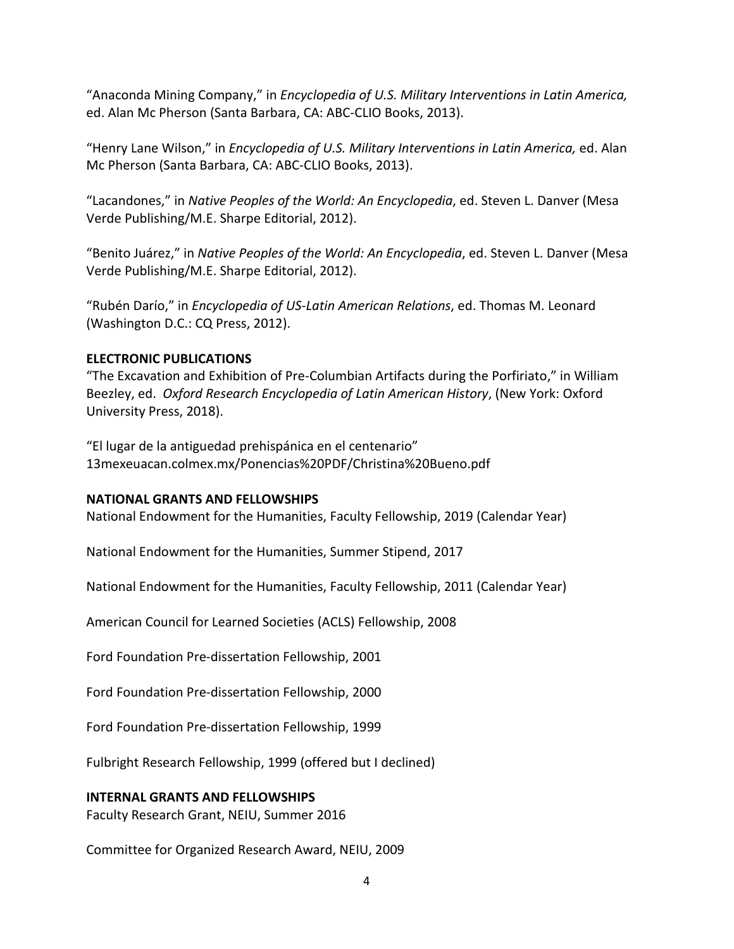"Anaconda Mining Company," in *Encyclopedia of U.S. Military Interventions in Latin America,* ed. Alan Mc Pherson (Santa Barbara, CA: ABC-CLIO Books, 2013).

"Henry Lane Wilson," in *Encyclopedia of U.S. Military Interventions in Latin America,* ed. Alan Mc Pherson (Santa Barbara, CA: ABC-CLIO Books, 2013).

"Lacandones," in *Native Peoples of the World: An Encyclopedia*, ed. Steven L. Danver (Mesa Verde Publishing/M.E. Sharpe Editorial, 2012).

"Benito Juárez," in *Native Peoples of the World: An Encyclopedia*, ed. Steven L. Danver (Mesa Verde Publishing/M.E. Sharpe Editorial, 2012).

"Rubén Darío," in *Encyclopedia of US-Latin American Relations*, ed. Thomas M. Leonard (Washington D.C.: CQ Press, 2012).

# **ELECTRONIC PUBLICATIONS**

"The Excavation and Exhibition of Pre-Columbian Artifacts during the Porfiriato," in William Beezley, ed. *Oxford Research Encyclopedia of Latin American History*, (New York: Oxford University Press, 2018).

"El lugar de la antiguedad prehispánica en el centenario" 13mexeuacan.colmex.mx/Ponencias%20PDF/Christina%20Bueno.pdf

# **NATIONAL GRANTS AND FELLOWSHIPS**

National Endowment for the Humanities, Faculty Fellowship, 2019 (Calendar Year)

National Endowment for the Humanities, Summer Stipend, 2017

National Endowment for the Humanities, Faculty Fellowship, 2011 (Calendar Year)

American Council for Learned Societies (ACLS) Fellowship, 2008

Ford Foundation Pre-dissertation Fellowship, 2001

Ford Foundation Pre-dissertation Fellowship, 2000

Ford Foundation Pre-dissertation Fellowship, 1999

Fulbright Research Fellowship, 1999 (offered but I declined)

# **INTERNAL GRANTS AND FELLOWSHIPS**

Faculty Research Grant, NEIU, Summer 2016

Committee for Organized Research Award, NEIU, 2009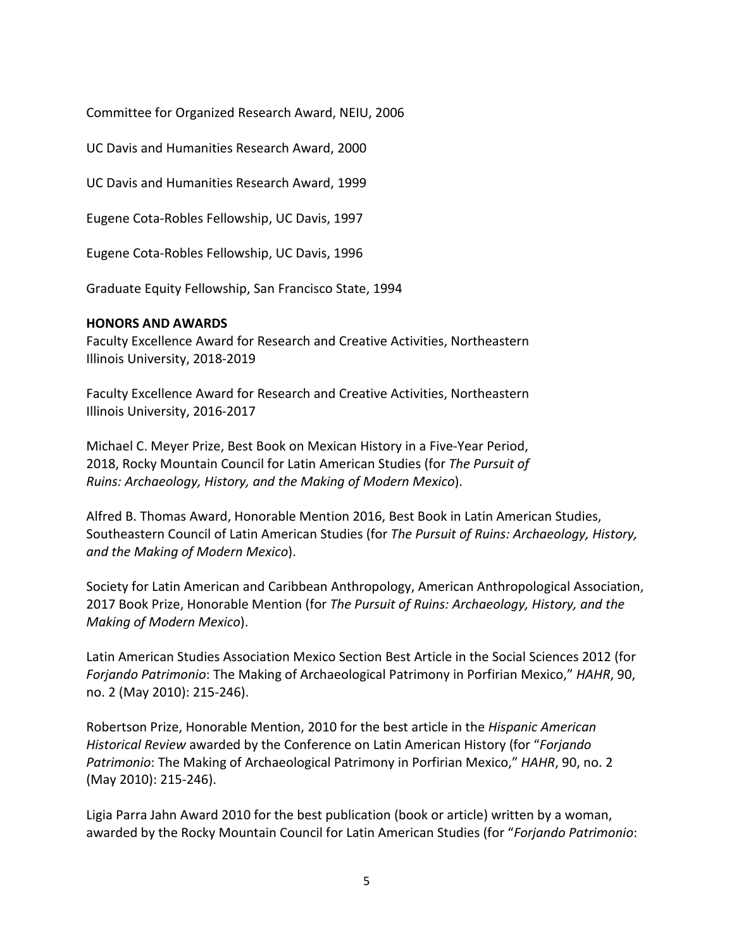Committee for Organized Research Award, NEIU, 2006

UC Davis and Humanities Research Award, 2000

UC Davis and Humanities Research Award, 1999

Eugene Cota-Robles Fellowship, UC Davis, 1997

Eugene Cota-Robles Fellowship, UC Davis, 1996

Graduate Equity Fellowship, San Francisco State, 1994

#### **HONORS AND AWARDS**

Faculty Excellence Award for Research and Creative Activities, Northeastern Illinois University, 2018-2019

Faculty Excellence Award for Research and Creative Activities, Northeastern Illinois University, 2016-2017

Michael C. Meyer Prize, Best Book on Mexican History in a Five-Year Period, 2018, Rocky Mountain Council for Latin American Studies (for *The Pursuit of Ruins: Archaeology, History, and the Making of Modern Mexico*).

Alfred B. Thomas Award, Honorable Mention 2016, Best Book in Latin American Studies, Southeastern Council of Latin American Studies (for *The Pursuit of Ruins: Archaeology, History, and the Making of Modern Mexico*).

Society for Latin American and Caribbean Anthropology, American Anthropological Association, 2017 Book Prize, Honorable Mention (for *The Pursuit of Ruins: Archaeology, History, and the Making of Modern Mexico*).

Latin American Studies Association Mexico Section Best Article in the Social Sciences 2012 (for *Forjando Patrimonio*: The Making of Archaeological Patrimony in Porfirian Mexico," *HAHR*, 90, no. 2 (May 2010): 215-246).

Robertson Prize, Honorable Mention, 2010 for the best article in the *Hispanic American Historical Review* awarded by the Conference on Latin American History (for "*Forjando Patrimonio*: The Making of Archaeological Patrimony in Porfirian Mexico," *HAHR*, 90, no. 2 (May 2010): 215-246).

Ligia Parra Jahn Award 2010 for the best publication (book or article) written by a woman, awarded by the Rocky Mountain Council for Latin American Studies (for "*Forjando Patrimonio*: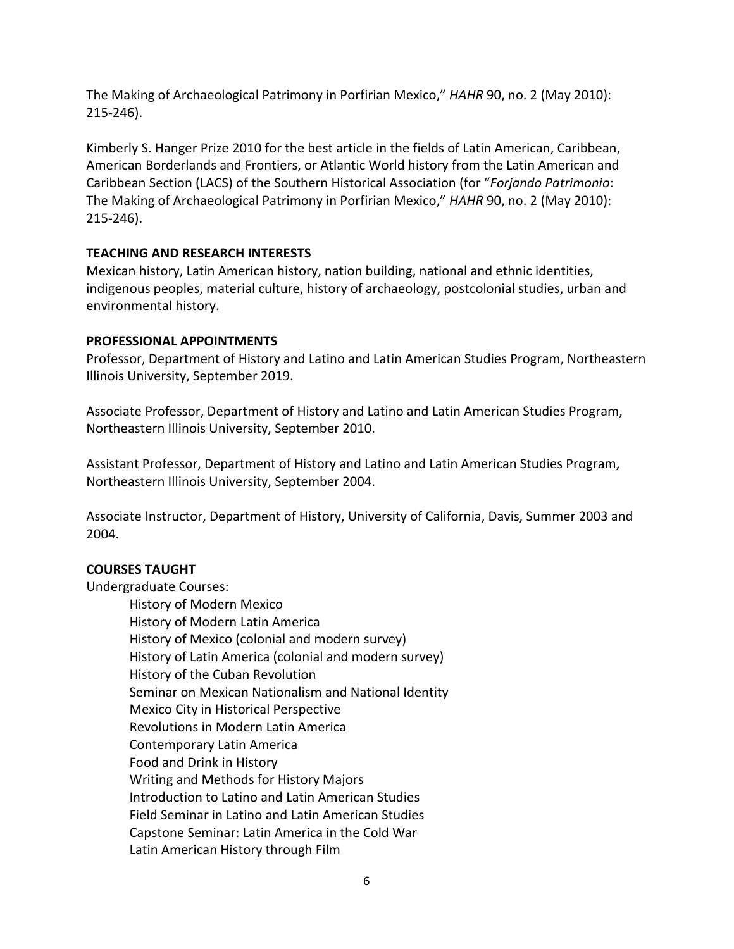The Making of Archaeological Patrimony in Porfirian Mexico," *HAHR* 90, no. 2 (May 2010): 215-246).

Kimberly S. Hanger Prize 2010 for the best article in the fields of Latin American, Caribbean, American Borderlands and Frontiers, or Atlantic World history from the Latin American and Caribbean Section (LACS) of the Southern Historical Association (for "*Forjando Patrimonio*: The Making of Archaeological Patrimony in Porfirian Mexico," *HAHR* 90, no. 2 (May 2010): 215-246).

# **TEACHING AND RESEARCH INTERESTS**

Mexican history, Latin American history, nation building, national and ethnic identities, indigenous peoples, material culture, history of archaeology, postcolonial studies, urban and environmental history.

# **PROFESSIONAL APPOINTMENTS**

Professor, Department of History and Latino and Latin American Studies Program, Northeastern Illinois University, September 2019.

Associate Professor, Department of History and Latino and Latin American Studies Program, Northeastern Illinois University, September 2010.

Assistant Professor, Department of History and Latino and Latin American Studies Program, Northeastern Illinois University, September 2004.

Associate Instructor, Department of History, University of California, Davis, Summer 2003 and 2004.

# **COURSES TAUGHT**

Undergraduate Courses:

History of Modern Mexico History of Modern Latin America History of Mexico (colonial and modern survey) History of Latin America (colonial and modern survey) History of the Cuban Revolution Seminar on Mexican Nationalism and National Identity Mexico City in Historical Perspective Revolutions in Modern Latin America Contemporary Latin America Food and Drink in History Writing and Methods for History Majors Introduction to Latino and Latin American Studies Field Seminar in Latino and Latin American Studies Capstone Seminar: Latin America in the Cold War Latin American History through Film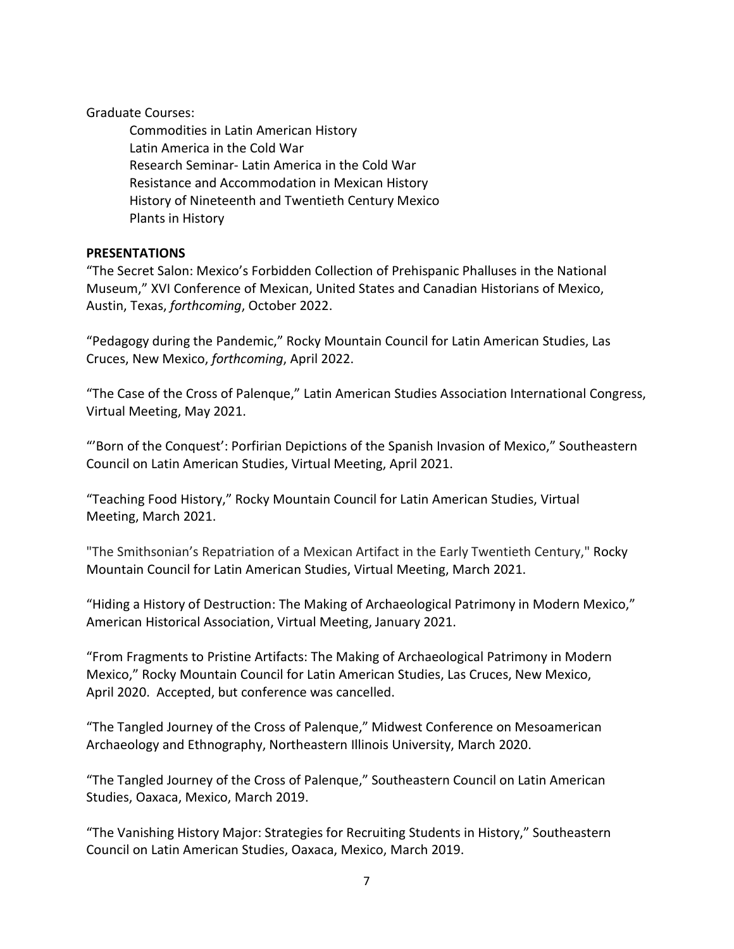Graduate Courses:

Commodities in Latin American History Latin America in the Cold War Research Seminar- Latin America in the Cold War Resistance and Accommodation in Mexican History History of Nineteenth and Twentieth Century Mexico Plants in History

# **PRESENTATIONS**

"The Secret Salon: Mexico's Forbidden Collection of Prehispanic Phalluses in the National Museum," XVI Conference of Mexican, United States and Canadian Historians of Mexico, Austin, Texas, *forthcoming*, October 2022.

"Pedagogy during the Pandemic," Rocky Mountain Council for Latin American Studies, Las Cruces, New Mexico, *forthcoming*, April 2022.

"The Case of the Cross of Palenque," Latin American Studies Association International Congress, Virtual Meeting, May 2021.

"'Born of the Conquest': Porfirian Depictions of the Spanish Invasion of Mexico," Southeastern Council on Latin American Studies, Virtual Meeting, April 2021.

"Teaching Food History," Rocky Mountain Council for Latin American Studies, Virtual Meeting, March 2021.

"The Smithsonian's Repatriation of a Mexican Artifact in the Early Twentieth Century," Rocky Mountain Council for Latin American Studies, Virtual Meeting, March 2021.

"Hiding a History of Destruction: The Making of Archaeological Patrimony in Modern Mexico," American Historical Association, Virtual Meeting, January 2021.

"From Fragments to Pristine Artifacts: The Making of Archaeological Patrimony in Modern Mexico," Rocky Mountain Council for Latin American Studies, Las Cruces, New Mexico, April 2020. Accepted, but conference was cancelled.

"The Tangled Journey of the Cross of Palenque," Midwest Conference on Mesoamerican Archaeology and Ethnography, Northeastern Illinois University, March 2020.

"The Tangled Journey of the Cross of Palenque," Southeastern Council on Latin American Studies, Oaxaca, Mexico, March 2019.

"The Vanishing History Major: Strategies for Recruiting Students in History," Southeastern Council on Latin American Studies, Oaxaca, Mexico, March 2019.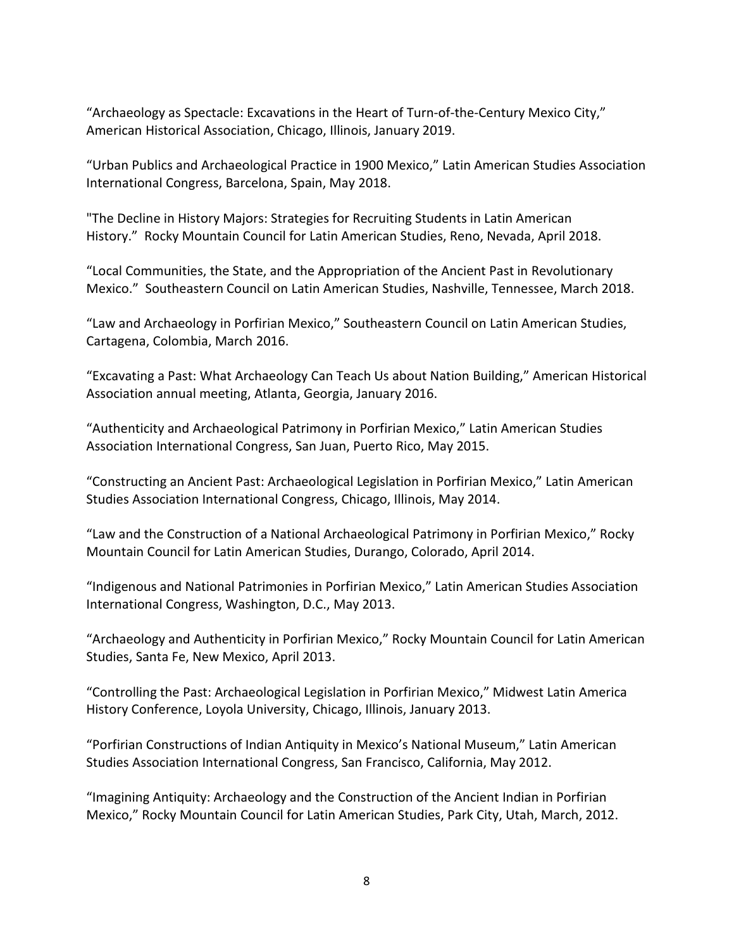"Archaeology as Spectacle: Excavations in the Heart of Turn-of-the-Century Mexico City," American Historical Association, Chicago, Illinois, January 2019.

"Urban Publics and Archaeological Practice in 1900 Mexico," Latin American Studies Association International Congress, Barcelona, Spain, May 2018.

"The Decline in History Majors: Strategies for Recruiting Students in Latin American History." Rocky Mountain Council for Latin American Studies, Reno, Nevada, April 2018.

"Local Communities, the State, and the Appropriation of the Ancient Past in Revolutionary Mexico." Southeastern Council on Latin American Studies, Nashville, Tennessee, March 2018.

"Law and Archaeology in Porfirian Mexico," Southeastern Council on Latin American Studies, Cartagena, Colombia, March 2016.

"Excavating a Past: What Archaeology Can Teach Us about Nation Building," American Historical Association annual meeting, Atlanta, Georgia, January 2016.

"Authenticity and Archaeological Patrimony in Porfirian Mexico," Latin American Studies Association International Congress, San Juan, Puerto Rico, May 2015.

"Constructing an Ancient Past: Archaeological Legislation in Porfirian Mexico," Latin American Studies Association International Congress, Chicago, Illinois, May 2014.

"Law and the Construction of a National Archaeological Patrimony in Porfirian Mexico," Rocky Mountain Council for Latin American Studies, Durango, Colorado, April 2014.

"Indigenous and National Patrimonies in Porfirian Mexico," Latin American Studies Association International Congress, Washington, D.C., May 2013.

"Archaeology and Authenticity in Porfirian Mexico," Rocky Mountain Council for Latin American Studies, Santa Fe, New Mexico, April 2013.

"Controlling the Past: Archaeological Legislation in Porfirian Mexico," Midwest Latin America History Conference, Loyola University, Chicago, Illinois, January 2013.

"Porfirian Constructions of Indian Antiquity in Mexico's National Museum," Latin American Studies Association International Congress, San Francisco, California, May 2012.

"Imagining Antiquity: Archaeology and the Construction of the Ancient Indian in Porfirian Mexico," Rocky Mountain Council for Latin American Studies, Park City, Utah, March, 2012.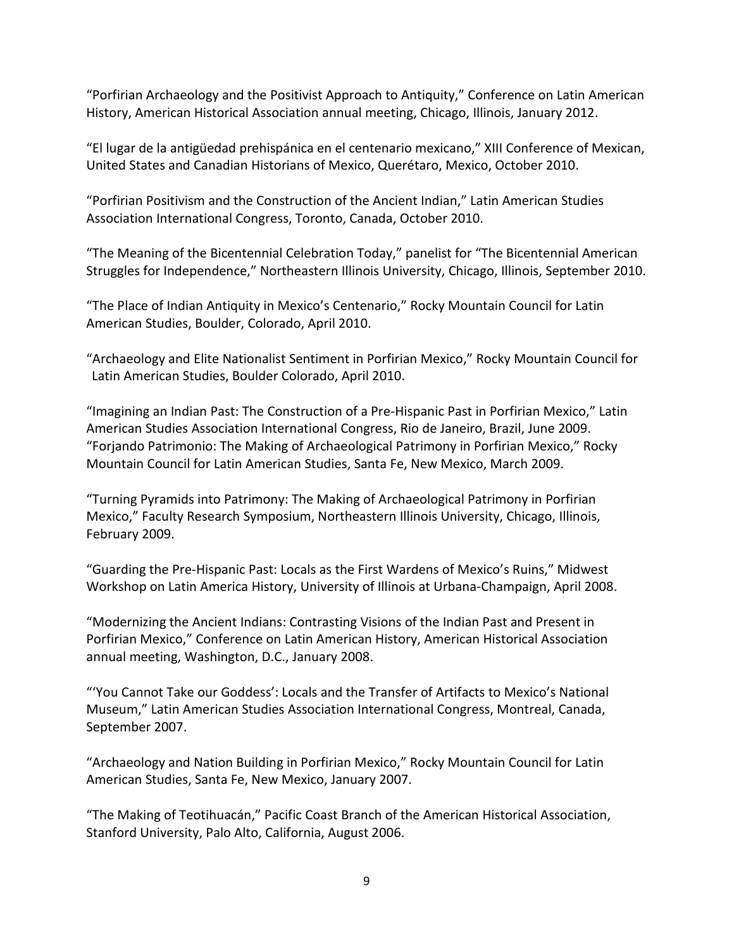"Porfirian Archaeology and the Positivist Approach to Antiquity," Conference on Latin American History, American Historical Association annual meeting, Chicago, Illinois, January 2012.

"El lugar de la antigüedad prehispánica en el centenario mexicano," XIII Conference of Mexican, United States and Canadian Historians of Mexico, Querétaro, Mexico, October 2010.

"Porfirian Positivism and the Construction of the Ancient Indian," Latin American Studies Association International Congress, Toronto, Canada, October 2010.

"The Meaning of the Bicentennial Celebration Today," panelist for "The Bicentennial American Struggles for Independence," Northeastern Illinois University, Chicago, Illinois, September 2010.

"The Place of Indian Antiquity in Mexico's Centenario," Rocky Mountain Council for Latin American Studies, Boulder, Colorado, April 2010.

"Archaeology and Elite Nationalist Sentiment in Porfirian Mexico," Rocky Mountain Council for Latin American Studies, Boulder Colorado, April 2010.

"Imagining an Indian Past: The Construction of a Pre-Hispanic Past in Porfirian Mexico," Latin American Studies Association International Congress, Rio de Janeiro, Brazil, June 2009. "Forjando Patrimonio: The Making of Archaeological Patrimony in Porfirian Mexico," Rocky Mountain Council for Latin American Studies, Santa Fe, New Mexico, March 2009.

"Turning Pyramids into Patrimony: The Making of Archaeological Patrimony in Porfirian Mexico," Faculty Research Symposium, Northeastern Illinois University, Chicago, Illinois, February 2009.

"Guarding the Pre-Hispanic Past: Locals as the First Wardens of Mexico's Ruins," Midwest Workshop on Latin America History, University of Illinois at Urbana-Champaign, April 2008.

"Modernizing the Ancient Indians: Contrasting Visions of the Indian Past and Present in Porfirian Mexico," Conference on Latin American History, American Historical Association annual meeting, Washington, D.C., January 2008.

"'You Cannot Take our Goddess': Locals and the Transfer of Artifacts to Mexico's National Museum," Latin American Studies Association International Congress, Montreal, Canada, September 2007.

"Archaeology and Nation Building in Porfirian Mexico," Rocky Mountain Council for Latin American Studies, Santa Fe, New Mexico, January 2007.

"The Making of Teotihuacán," Pacific Coast Branch of the American Historical Association, Stanford University, Palo Alto, California, August 2006.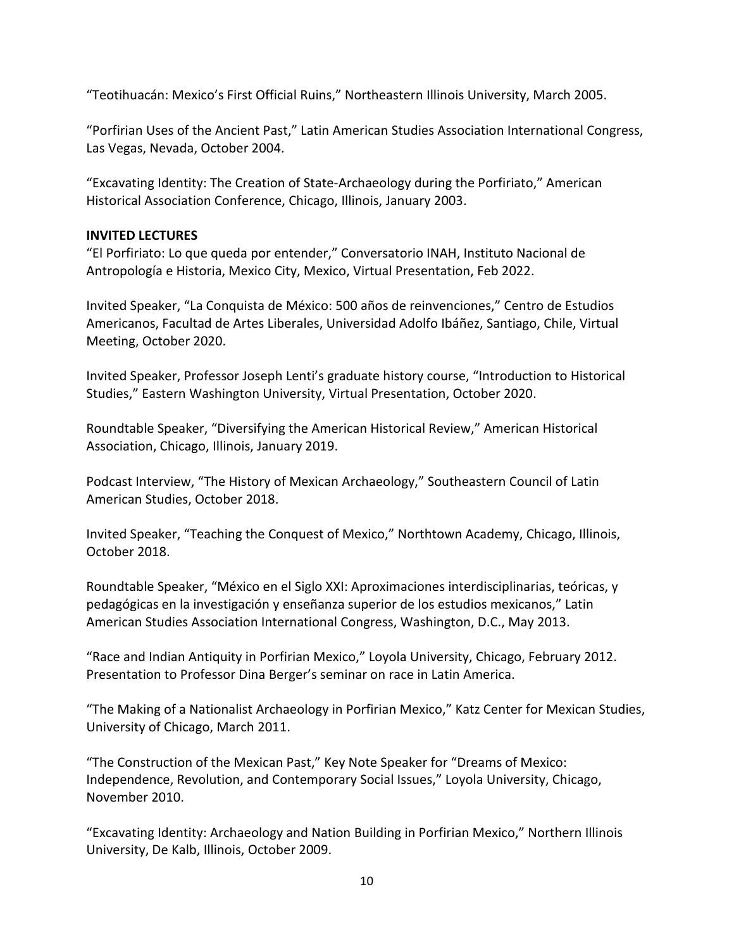"Teotihuacán: Mexico's First Official Ruins," Northeastern Illinois University, March 2005.

"Porfirian Uses of the Ancient Past," Latin American Studies Association International Congress, Las Vegas, Nevada, October 2004.

"Excavating Identity: The Creation of State-Archaeology during the Porfiriato," American Historical Association Conference, Chicago, Illinois, January 2003.

#### **INVITED LECTURES**

"El Porfiriato: Lo que queda por entender," Conversatorio INAH, Instituto Nacional de Antropología e Historia, Mexico City, Mexico, Virtual Presentation, Feb 2022.

Invited Speaker, "La Conquista de México: 500 años de reinvenciones," Centro de Estudios Americanos, Facultad de Artes Liberales, Universidad Adolfo Ibáñez, Santiago, Chile, Virtual Meeting, October 2020.

Invited Speaker, Professor Joseph Lenti's graduate history course, "Introduction to Historical Studies," Eastern Washington University, Virtual Presentation, October 2020.

Roundtable Speaker, "Diversifying the American Historical Review," American Historical Association, Chicago, Illinois, January 2019.

Podcast Interview, "The History of Mexican Archaeology," Southeastern Council of Latin American Studies, October 2018.

Invited Speaker, "Teaching the Conquest of Mexico," Northtown Academy, Chicago, Illinois, October 2018.

Roundtable Speaker, "México en el Siglo XXI: Aproximaciones interdisciplinarias, teóricas, y pedagógicas en la investigación y enseñanza superior de los estudios mexicanos," Latin American Studies Association International Congress, Washington, D.C., May 2013.

"Race and Indian Antiquity in Porfirian Mexico," Loyola University, Chicago, February 2012. Presentation to Professor Dina Berger's seminar on race in Latin America.

"The Making of a Nationalist Archaeology in Porfirian Mexico," Katz Center for Mexican Studies, University of Chicago, March 2011.

"The Construction of the Mexican Past," Key Note Speaker for "Dreams of Mexico: Independence, Revolution, and Contemporary Social Issues," Loyola University, Chicago, November 2010.

"Excavating Identity: Archaeology and Nation Building in Porfirian Mexico," Northern Illinois University, De Kalb, Illinois, October 2009.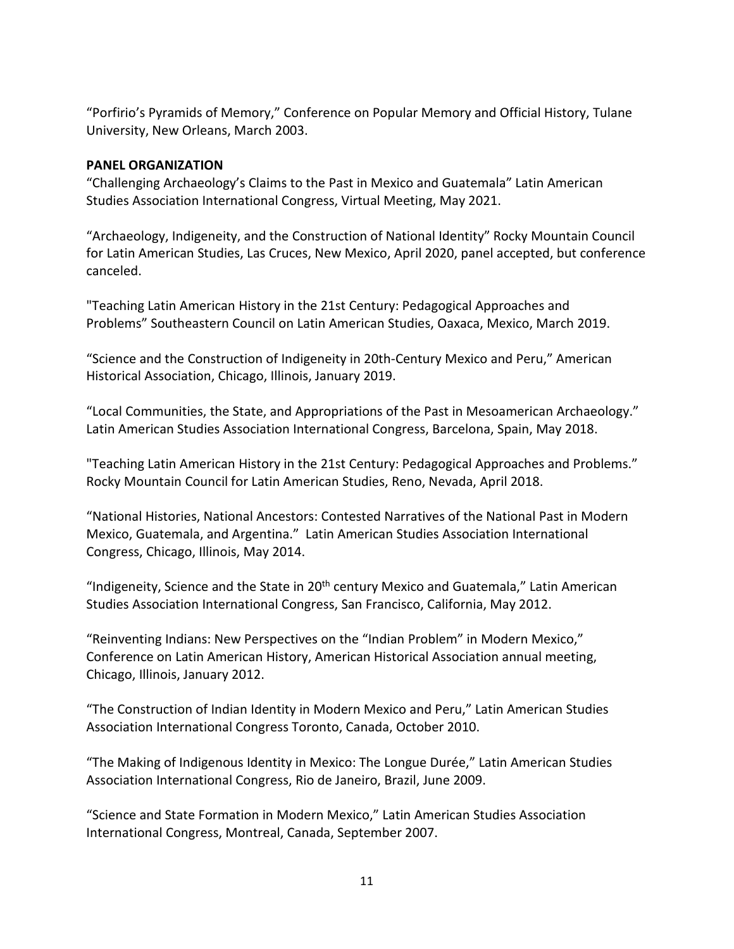"Porfirio's Pyramids of Memory," Conference on Popular Memory and Official History, Tulane University, New Orleans, March 2003.

# **PANEL ORGANIZATION**

"Challenging Archaeology's Claims to the Past in Mexico and Guatemala" Latin American Studies Association International Congress, Virtual Meeting, May 2021.

"Archaeology, Indigeneity, and the Construction of National Identity" Rocky Mountain Council for Latin American Studies, Las Cruces, New Mexico, April 2020, panel accepted, but conference canceled.

"Teaching Latin American History in the 21st Century: Pedagogical Approaches and Problems" Southeastern Council on Latin American Studies, Oaxaca, Mexico, March 2019.

"Science and the Construction of Indigeneity in 20th-Century Mexico and Peru," American Historical Association, Chicago, Illinois, January 2019.

"Local Communities, the State, and Appropriations of the Past in Mesoamerican Archaeology." Latin American Studies Association International Congress, Barcelona, Spain, May 2018.

"Teaching Latin American History in the 21st Century: Pedagogical Approaches and Problems." Rocky Mountain Council for Latin American Studies, Reno, Nevada, April 2018.

"National Histories, National Ancestors: Contested Narratives of the National Past in Modern Mexico, Guatemala, and Argentina." Latin American Studies Association International Congress, Chicago, Illinois, May 2014.

"Indigeneity, Science and the State in  $20<sup>th</sup>$  century Mexico and Guatemala," Latin American Studies Association International Congress, San Francisco, California, May 2012.

"Reinventing Indians: New Perspectives on the "Indian Problem" in Modern Mexico," Conference on Latin American History, American Historical Association annual meeting, Chicago, Illinois, January 2012.

"The Construction of Indian Identity in Modern Mexico and Peru," Latin American Studies Association International Congress Toronto, Canada, October 2010.

"The Making of Indigenous Identity in Mexico: The Longue Durée," Latin American Studies Association International Congress, Rio de Janeiro, Brazil, June 2009.

"Science and State Formation in Modern Mexico," Latin American Studies Association International Congress, Montreal, Canada, September 2007.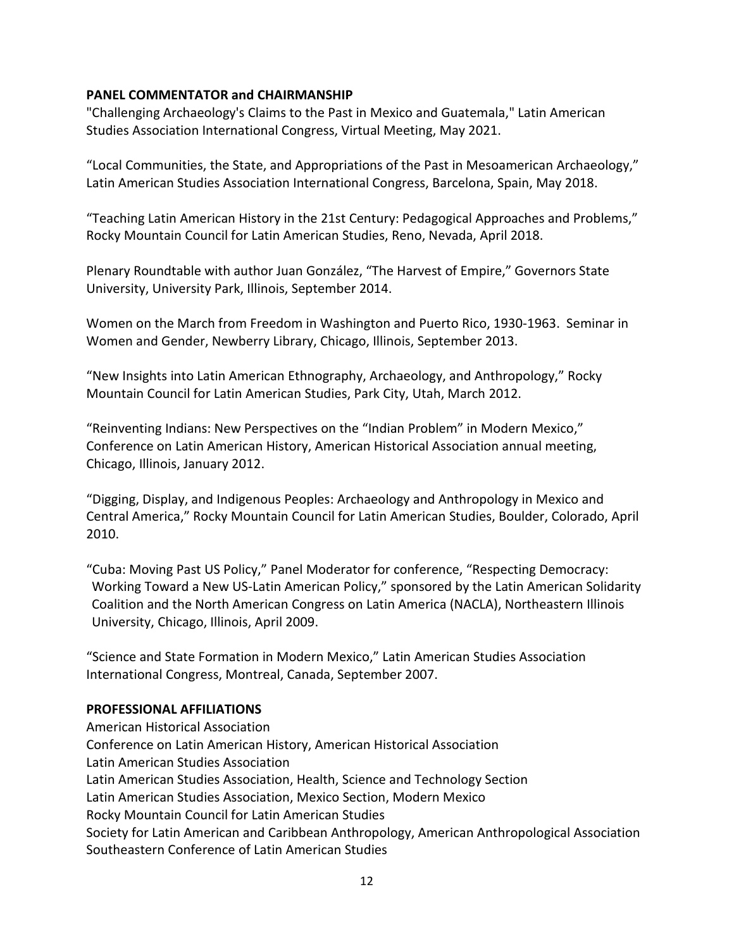# **PANEL COMMENTATOR and CHAIRMANSHIP**

"Challenging Archaeology's Claims to the Past in Mexico and Guatemala," Latin American Studies Association International Congress, Virtual Meeting, May 2021.

"Local Communities, the State, and Appropriations of the Past in Mesoamerican Archaeology," Latin American Studies Association International Congress, Barcelona, Spain, May 2018.

"Teaching Latin American History in the 21st Century: Pedagogical Approaches and Problems," Rocky Mountain Council for Latin American Studies, Reno, Nevada, April 2018.

Plenary Roundtable with author Juan González, "The Harvest of Empire," Governors State University, University Park, Illinois, September 2014.

Women on the March from Freedom in Washington and Puerto Rico, 1930-1963. Seminar in Women and Gender, Newberry Library, Chicago, Illinois, September 2013.

"New Insights into Latin American Ethnography, Archaeology, and Anthropology," Rocky Mountain Council for Latin American Studies, Park City, Utah, March 2012.

"Reinventing Indians: New Perspectives on the "Indian Problem" in Modern Mexico," Conference on Latin American History, American Historical Association annual meeting, Chicago, Illinois, January 2012.

"Digging, Display, and Indigenous Peoples: Archaeology and Anthropology in Mexico and Central America," Rocky Mountain Council for Latin American Studies, Boulder, Colorado, April 2010.

"Cuba: Moving Past US Policy," Panel Moderator for conference, "Respecting Democracy: Working Toward a New US-Latin American Policy," sponsored by the Latin American Solidarity Coalition and the North American Congress on Latin America (NACLA), Northeastern Illinois University, Chicago, Illinois, April 2009.

"Science and State Formation in Modern Mexico," Latin American Studies Association International Congress, Montreal, Canada, September 2007.

# **PROFESSIONAL AFFILIATIONS**

American Historical Association Conference on Latin American History, American Historical Association Latin American Studies Association Latin American Studies Association, Health, Science and Technology Section Latin American Studies Association, Mexico Section, Modern Mexico Rocky Mountain Council for Latin American Studies Society for Latin American and Caribbean Anthropology, American Anthropological Association Southeastern Conference of Latin American Studies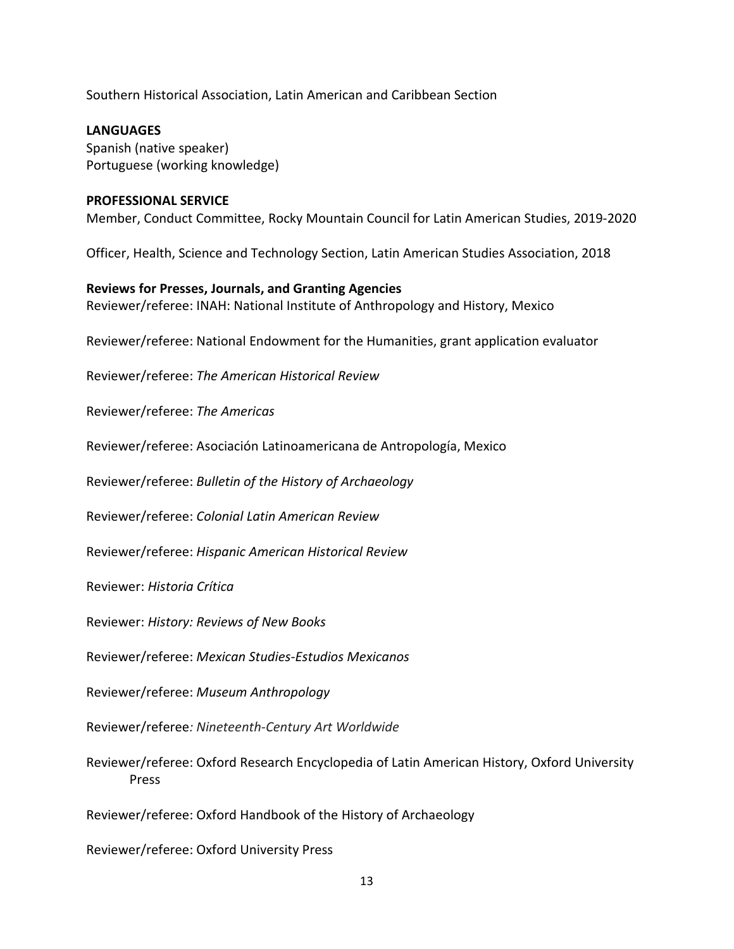Southern Historical Association, Latin American and Caribbean Section

**LANGUAGES** Spanish (native speaker) Portuguese (working knowledge)

#### **PROFESSIONAL SERVICE**

Member, Conduct Committee, Rocky Mountain Council for Latin American Studies, 2019-2020

Officer, Health, Science and Technology Section, Latin American Studies Association, 2018

**Reviews for Presses, Journals, and Granting Agencies** Reviewer/referee: INAH: National Institute of Anthropology and History, Mexico

Reviewer/referee: National Endowment for the Humanities, grant application evaluator

Reviewer/referee: *The American Historical Review*

Reviewer/referee: *The Americas*

Reviewer/referee: Asociación Latinoamericana de Antropología, Mexico

Reviewer/referee: *Bulletin of the History of Archaeology*

Reviewer/referee: *Colonial Latin American Review*

Reviewer/referee: *Hispanic American Historical Review*

Reviewer: *Historia Crítica*

Reviewer: *History: Reviews of New Books*

Reviewer/referee: *Mexican Studies-Estudios Mexicanos*

Reviewer/referee: *Museum Anthropology*

Reviewer/referee*: Nineteenth-Century Art Worldwide*

Reviewer/referee: Oxford Research Encyclopedia of Latin American History, Oxford University Press

Reviewer/referee: Oxford Handbook of the History of Archaeology

Reviewer/referee: Oxford University Press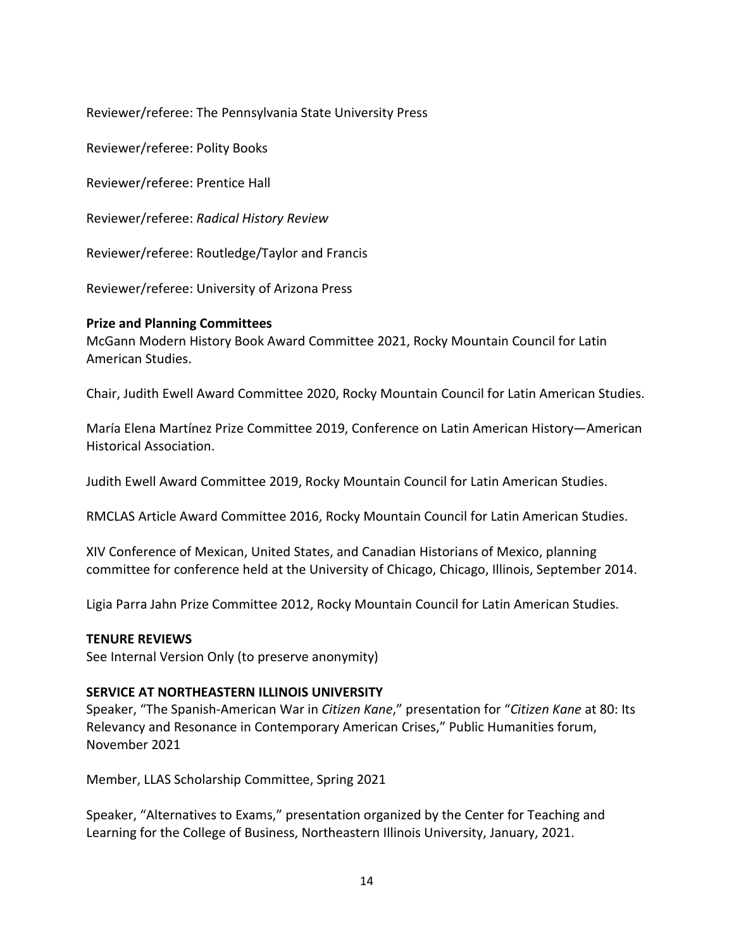Reviewer/referee: The Pennsylvania State University Press

Reviewer/referee: Polity Books

Reviewer/referee: Prentice Hall

Reviewer/referee: *Radical History Review*

Reviewer/referee: Routledge/Taylor and Francis

Reviewer/referee: University of Arizona Press

# **Prize and Planning Committees**

McGann Modern History Book Award Committee 2021, Rocky Mountain Council for Latin American Studies.

Chair, Judith Ewell Award Committee 2020, Rocky Mountain Council for Latin American Studies.

María Elena Martínez Prize Committee 2019, Conference on Latin American History—American Historical Association.

Judith Ewell Award Committee 2019, Rocky Mountain Council for Latin American Studies.

RMCLAS Article Award Committee 2016, Rocky Mountain Council for Latin American Studies.

XIV Conference of Mexican, United States, and Canadian Historians of Mexico, planning committee for conference held at the University of Chicago, Chicago, Illinois, September 2014.

Ligia Parra Jahn Prize Committee 2012, Rocky Mountain Council for Latin American Studies.

# **TENURE REVIEWS**

See Internal Version Only (to preserve anonymity)

# **SERVICE AT NORTHEASTERN ILLINOIS UNIVERSITY**

Speaker, "The Spanish-American War in *Citizen Kane*," presentation for "*Citizen Kane* at 80: Its Relevancy and Resonance in Contemporary American Crises," Public Humanities forum, November 2021

Member, LLAS Scholarship Committee, Spring 2021

Speaker, "Alternatives to Exams," presentation organized by the Center for Teaching and Learning for the College of Business, Northeastern Illinois University, January, 2021.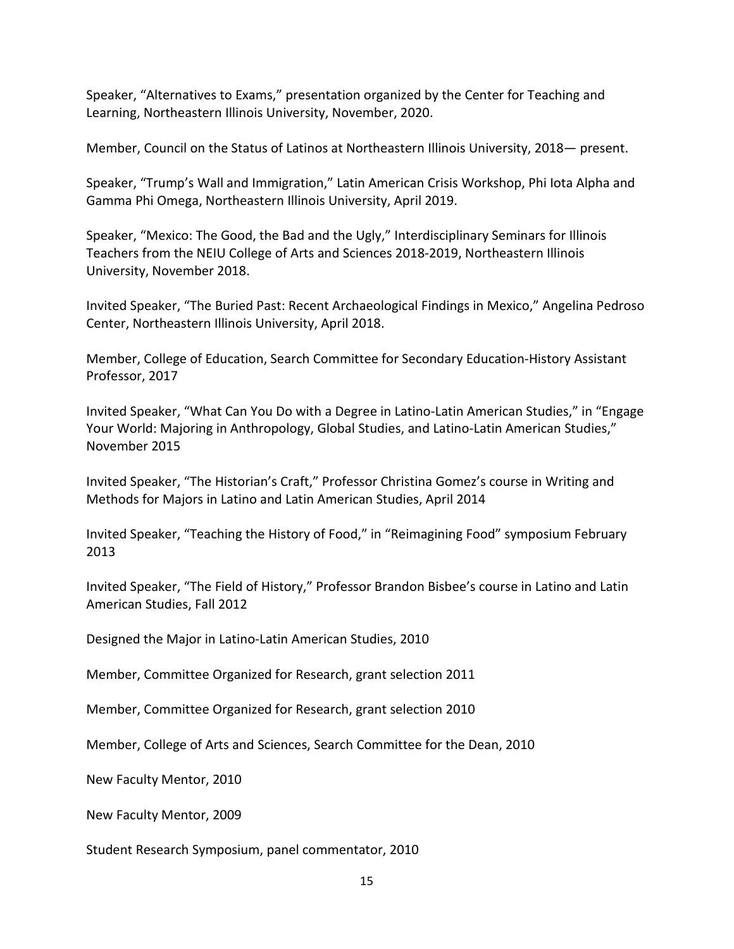Speaker, "Alternatives to Exams," presentation organized by the Center for Teaching and Learning, Northeastern Illinois University, November, 2020.

Member, Council on the Status of Latinos at Northeastern Illinois University, 2018— present.

Speaker, "Trump's Wall and Immigration," Latin American Crisis Workshop, Phi Iota Alpha and Gamma Phi Omega, Northeastern Illinois University, April 2019.

Speaker, "Mexico: The Good, the Bad and the Ugly," Interdisciplinary Seminars for Illinois Teachers from the NEIU College of Arts and Sciences 2018-2019, Northeastern Illinois University, November 2018.

Invited Speaker, "The Buried Past: Recent Archaeological Findings in Mexico," Angelina Pedroso Center, Northeastern Illinois University, April 2018.

Member, College of Education, Search Committee for Secondary Education-History Assistant Professor, 2017

Invited Speaker, "What Can You Do with a Degree in Latino-Latin American Studies," in "Engage Your World: Majoring in Anthropology, Global Studies, and Latino-Latin American Studies," November 2015

Invited Speaker, "The Historian's Craft," Professor Christina Gomez's course in Writing and Methods for Majors in Latino and Latin American Studies, April 2014

Invited Speaker, "Teaching the History of Food," in "Reimagining Food" symposium February 2013

Invited Speaker, "The Field of History," Professor Brandon Bisbee's course in Latino and Latin American Studies, Fall 2012

Designed the Major in Latino-Latin American Studies, 2010

Member, Committee Organized for Research, grant selection 2011

Member, Committee Organized for Research, grant selection 2010

Member, College of Arts and Sciences, Search Committee for the Dean, 2010

New Faculty Mentor, 2010

New Faculty Mentor, 2009

Student Research Symposium, panel commentator, 2010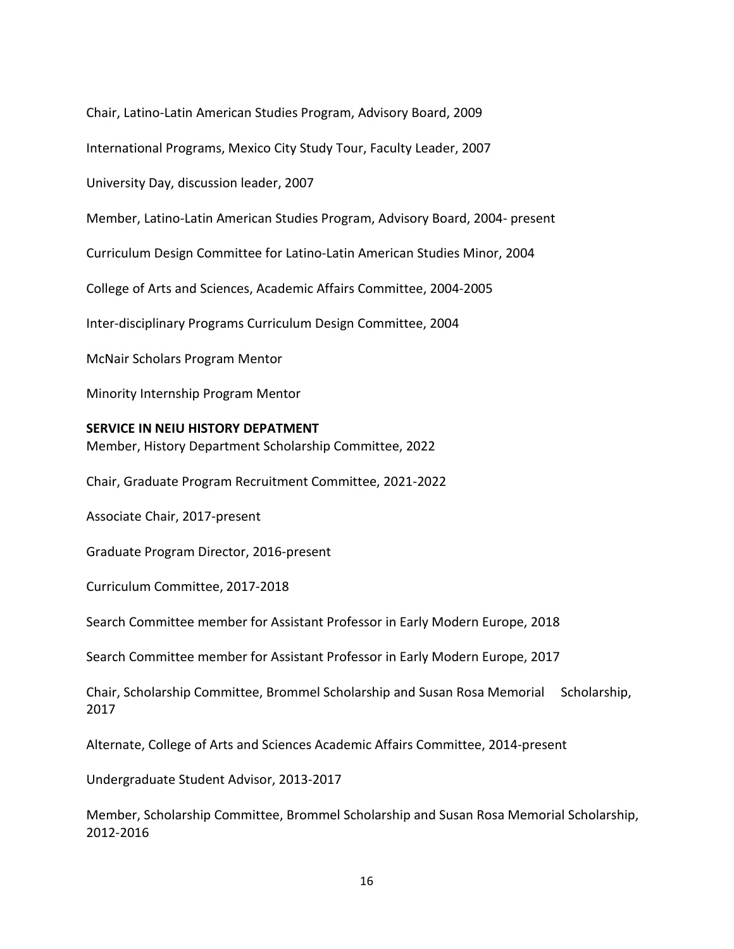Chair, Latino-Latin American Studies Program, Advisory Board, 2009 International Programs, Mexico City Study Tour, Faculty Leader, 2007 University Day, discussion leader, 2007 Member, Latino-Latin American Studies Program, Advisory Board, 2004- present Curriculum Design Committee for Latino-Latin American Studies Minor, 2004 College of Arts and Sciences, Academic Affairs Committee, 2004-2005 Inter-disciplinary Programs Curriculum Design Committee, 2004 McNair Scholars Program Mentor Minority Internship Program Mentor **SERVICE IN NEIU HISTORY DEPATMENT** Member, History Department Scholarship Committee, 2022 Chair, Graduate Program Recruitment Committee, 2021-2022 Associate Chair, 2017-present Graduate Program Director, 2016-present Curriculum Committee, 2017-2018 Search Committee member for Assistant Professor in Early Modern Europe, 2018 Search Committee member for Assistant Professor in Early Modern Europe, 2017 Chair, Scholarship Committee, Brommel Scholarship and Susan Rosa Memorial Scholarship, 2017 Alternate, College of Arts and Sciences Academic Affairs Committee, 2014-present Undergraduate Student Advisor, 2013-2017 Member, Scholarship Committee, Brommel Scholarship and Susan Rosa Memorial Scholarship, 2012-2016